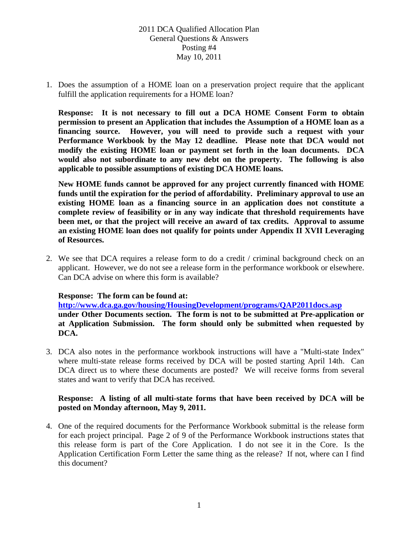1. Does the assumption of a HOME loan on a preservation project require that the applicant fulfill the application requirements for a HOME loan?

**Response: It is not necessary to fill out a DCA HOME Consent Form to obtain permission to present an Application that includes the Assumption of a HOME loan as a financing source. However, you will need to provide such a request with your Performance Workbook by the May 12 deadline. Please note that DCA would not modify the existing HOME loan or payment set forth in the loan documents. DCA would also not subordinate to any new debt on the property. The following is also applicable to possible assumptions of existing DCA HOME loans.** 

**New HOME funds cannot be approved for any project currently financed with HOME funds until the expiration for the period of affordability. Preliminary approval to use an existing HOME loan as a financing source in an application does not constitute a complete review of feasibility or in any way indicate that threshold requirements have been met, or that the project will receive an award of tax credits. Approval to assume an existing HOME loan does not qualify for points under Appendix II XVII Leveraging of Resources.** 

2. We see that DCA requires a release form to do a credit / criminal background check on an applicant. However, we do not see a release form in the performance workbook or elsewhere. Can DCA advise on where this form is available?

### **Response: The form can be found at:**

**http://www.dca.ga.gov/housing/HousingDevelopment/programs/QAP2011docs.asp under Other Documents section. The form is not to be submitted at Pre-application or at Application Submission. The form should only be submitted when requested by DCA.** 

3. DCA also notes in the performance workbook instructions will have a "Multi-state Index" where multi-state release forms received by DCA will be posted starting April 14th. Can DCA direct us to where these documents are posted? We will receive forms from several states and want to verify that DCA has received.

### **Response: A listing of all multi-state forms that have been received by DCA will be posted on Monday afternoon, May 9, 2011.**

4. One of the required documents for the Performance Workbook submittal is the release form for each project principal. Page 2 of 9 of the Performance Workbook instructions states that this release form is part of the Core Application. I do not see it in the Core. Is the Application Certification Form Letter the same thing as the release? If not, where can I find this document?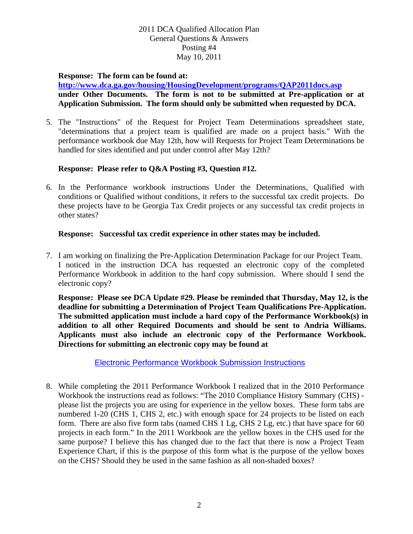### **Response: The form can be found at:**

**http://www.dca.ga.gov/housing/HousingDevelopment/programs/QAP2011docs.asp under Other Documents. The form is not to be submitted at Pre-application or at Application Submission. The form should only be submitted when requested by DCA.** 

5. The "Instructions" of the Request for Project Team Determinations spreadsheet state, "determinations that a project team is qualified are made on a project basis." With the performance workbook due May 12th, how will Requests for Project Team Determinations be handled for sites identified and put under control after May 12th?

### **Response: Please refer to Q&A Posting #3, Question #12.**

6. In the Performance workbook instructions Under the Determinations, Qualified with conditions or Qualified without conditions, it refers to the successful tax credit projects. Do these projects have to be Georgia Tax Credit projects or any successful tax credit projects in other states?

### **Response: Successful tax credit experience in other states may be included.**

7. I am working on finalizing the Pre-Application Determination Package for our Project Team. I noticed in the instruction DCA has requested an electronic copy of the completed Performance Workbook in addition to the hard copy submission. Where should I send the electronic copy?

**Response: Please see DCA Update #29. Please be reminded that Thursday, May 12, is the deadline for submitting a Determination of Project Team Qualifications Pre-Application. The submitted application must include a hard copy of the Performance Workbook(s) in addition to all other Required Documents and should be sent to Andria Williams. Applicants must also include an electronic copy of the Performance Workbook. Directions for submitting an electronic copy may be found at** 

Electronic Performance Workbook Submission Instructions

8. While completing the 2011 Performance Workbook I realized that in the 2010 Performance Workbook the instructions read as follows: "The 2010 Compliance History Summary (CHS) please list the projects you are using for experience in the yellow boxes. These form tabs are numbered 1-20 (CHS 1, CHS 2, etc.) with enough space for 24 projects to be listed on each form. There are also five form tabs (named CHS 1 Lg, CHS 2 Lg, etc.) that have space for 60 projects in each form." In the 2011 Workbook are the yellow boxes in the CHS used for the same purpose? I believe this has changed due to the fact that there is now a Project Team Experience Chart, if this is the purpose of this form what is the purpose of the yellow boxes on the CHS? Should they be used in the same fashion as all non-shaded boxes?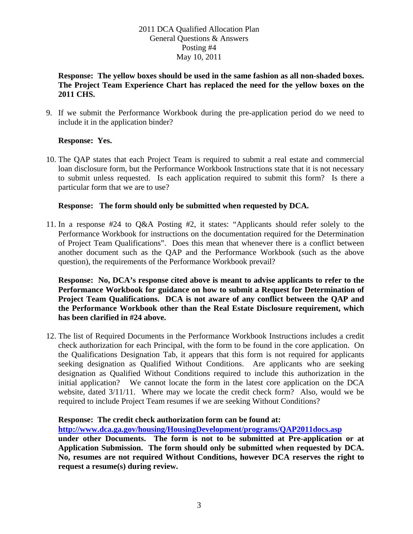### **Response: The yellow boxes should be used in the same fashion as all non-shaded boxes. The Project Team Experience Chart has replaced the need for the yellow boxes on the 2011 CHS.**

9. If we submit the Performance Workbook during the pre-application period do we need to include it in the application binder?

# **Response: Yes.**

10. The QAP states that each Project Team is required to submit a real estate and commercial loan disclosure form, but the Performance Workbook Instructions state that it is not necessary to submit unless requested. Is each application required to submit this form? Is there a particular form that we are to use?

### **Response: The form should only be submitted when requested by DCA.**

11. In a response #24 to Q&A Posting #2, it states: "Applicants should refer solely to the Performance Workbook for instructions on the documentation required for the Determination of Project Team Qualifications". Does this mean that whenever there is a conflict between another document such as the QAP and the Performance Workbook (such as the above question), the requirements of the Performance Workbook prevail?

**Response: No, DCA's response cited above is meant to advise applicants to refer to the Performance Workbook for guidance on how to submit a Request for Determination of Project Team Qualifications. DCA is not aware of any conflict between the QAP and the Performance Workbook other than the Real Estate Disclosure requirement, which has been clarified in #24 above.** 

12. The list of Required Documents in the Performance Workbook Instructions includes a credit check authorization for each Principal, with the form to be found in the core application. On the Qualifications Designation Tab, it appears that this form is not required for applicants seeking designation as Qualified Without Conditions. Are applicants who are seeking designation as Qualified Without Conditions required to include this authorization in the initial application? We cannot locate the form in the latest core application on the DCA website, dated 3/11/11. Where may we locate the credit check form? Also, would we be required to include Project Team resumes if we are seeking Without Conditions?

### **Response: The credit check authorization form can be found at:**

**http://www.dca.ga.gov/housing/HousingDevelopment/programs/QAP2011docs.asp**

**under other Documents. The form is not to be submitted at Pre-application or at Application Submission. The form should only be submitted when requested by DCA. No, resumes are not required Without Conditions, however DCA reserves the right to request a resume(s) during review.**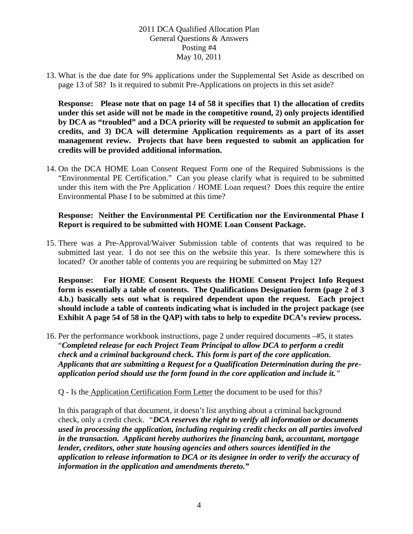13. What is the due date for 9% applications under the Supplemental Set Aside as described on page 13 of 58? Is it required to submit Pre-Applications on projects in this set aside?

**Response: Please note that on page 14 of 58 it specifies that 1) the allocation of credits under this set aside will not be made in the competitive round, 2) only projects identified by DCA as "troubled" and a DCA priority will be** *requested* **to submit an application for credits, and 3) DCA will determine Application requirements as a part of its asset management review. Projects that have been requested to submit an application for credits will be provided additional information.**

14. On the DCA HOME Loan Consent Request Form one of the Required Submissions is the "Environmental PE Certification." Can you please clarify what is required to be submitted under this item with the Pre Application / HOME Loan request? Does this require the entire Environmental Phase I to be submitted at this time?

### **Response: Neither the Environmental PE Certification nor the Environmental Phase I Report is required to be submitted with HOME Loan Consent Package.**

15. There was a Pre-Approval/Waiver Submission table of contents that was required to be submitted last year. I do not see this on the website this year. Is there somewhere this is located? Or another table of contents you are requiring be submitted on May 12?

**Response: For HOME Consent Requests the HOME Consent Project Info Request form is essentially a table of contents. The Qualifications Designation form (page 2 of 3 4.b.) basically sets out what is required dependent upon the request. Each project should include a table of contents indicating what is included in the project package (see Exhibit A page 54 of 58 in the QAP) with tabs to help to expedite DCA's review process.** 

16. Per the performance workbook instructions, page 2 under required documents –#5, it states "*Completed release for each Project Team Principal to allow DCA to perform a credit check and a criminal background check. This form is part of the core application. Applicants that are submitting a Request for a Qualification Determination during the preapplication period should use the form found in the core application and include it."*

Q - Is the Application Certification Form Letter the document to be used for this?

In this paragraph of that document, it doesn't list anything about a criminal background check, only a credit check. *"DCA reserves the right to verify all information or documents used in processing the application, including requiring credit checks on all parties involved in the transaction. Applicant hereby authorizes the financing bank, accountant, mortgage lender, creditors, other state housing agencies and others sources identified in the application to release information to DCA or its designee in order to verify the accuracy of information in the application and amendments thereto."*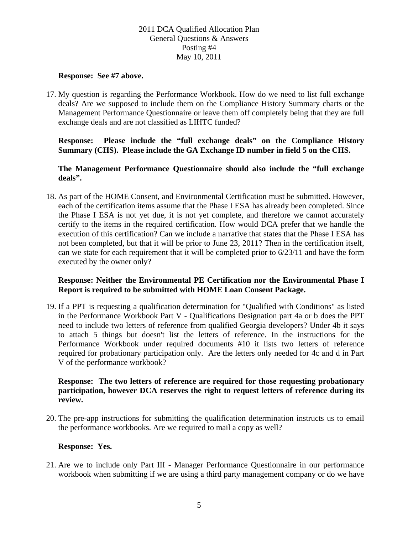#### **Response: See #7 above.**

17. My question is regarding the Performance Workbook. How do we need to list full exchange deals? Are we supposed to include them on the Compliance History Summary charts or the Management Performance Questionnaire or leave them off completely being that they are full exchange deals and are not classified as LIHTC funded?

### **Response: Please include the "full exchange deals" on the Compliance History Summary (CHS). Please include the GA Exchange ID number in field 5 on the CHS.**

**The Management Performance Questionnaire should also include the "full exchange deals".** 

18. As part of the HOME Consent, and Environmental Certification must be submitted. However, each of the certification items assume that the Phase I ESA has already been completed. Since the Phase I ESA is not yet due, it is not yet complete, and therefore we cannot accurately certify to the items in the required certification. How would DCA prefer that we handle the execution of this certification? Can we include a narrative that states that the Phase I ESA has not been completed, but that it will be prior to June 23, 2011? Then in the certification itself, can we state for each requirement that it will be completed prior to 6/23/11 and have the form executed by the owner only?

### **Response: Neither the Environmental PE Certification nor the Environmental Phase I Report is required to be submitted with HOME Loan Consent Package.**

19. If a PPT is requesting a qualification determination for "Qualified with Conditions" as listed in the Performance Workbook Part V - Qualifications Designation part 4a or b does the PPT need to include two letters of reference from qualified Georgia developers? Under 4b it says to attach 5 things but doesn't list the letters of reference. In the instructions for the Performance Workbook under required documents #10 it lists two letters of reference required for probationary participation only. Are the letters only needed for 4c and d in Part V of the performance workbook?

### **Response: The two letters of reference are required for those requesting probationary participation, however DCA reserves the right to request letters of reference during its review.**

20. The pre-app instructions for submitting the qualification determination instructs us to email the performance workbooks. Are we required to mail a copy as well?

#### **Response: Yes.**

21. Are we to include only Part III - Manager Performance Questionnaire in our performance workbook when submitting if we are using a third party management company or do we have